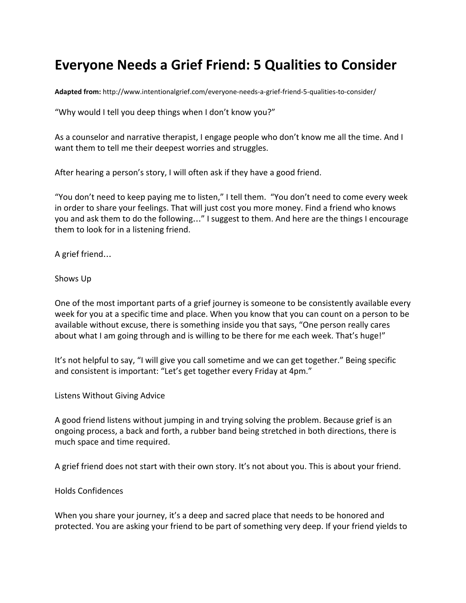## **Everyone Needs a Grief Friend: 5 Qualities to Consider**

**Adapted from:** <http://www.intentionalgrief.com/everyone-needs-a-grief-friend-5-qualities-to-consider/>

"Why would I tell you deep things when I don't know you?"

As a counselor and narrative therapist, I engage people who don't know me all the time. And I want them to tell me their deepest worries and struggles.

After hearing a person's story, I will often ask if they have a good friend.

"You don't need to keep paying me to listen," I tell them. "You don't need to come every week in order to share your feelings. That will just cost you more money. Find a friend who knows you and ask them to do the following…" I suggest to them. And here are the things I encourage them to look for in a listening friend.

A grief friend…

Shows Up

One of the most important parts of a grief journey is someone to be consistently available every week for you at a specific time and place. When you know that you can count on a person to be available without excuse, there is something inside you that says, "One person really cares about what I am going through and is willing to be there for me each week. That's huge!"

It's not helpful to say, "I will give you call sometime and we can get together." Being specific and consistent is important: "Let's get together every Friday at 4pm."

Listens Without Giving Advice

A good friend listens without jumping in and trying solving the problem. Because grief is an ongoing process, a back and forth, a rubber band being stretched in both directions, there is much space and time required.

A grief friend does not start with their own story. It's not about you. This is about your friend.

Holds Confidences

When you share your journey, it's a deep and sacred place that needs to be honored and protected. You are asking your friend to be part of something very deep. If your friend yields to